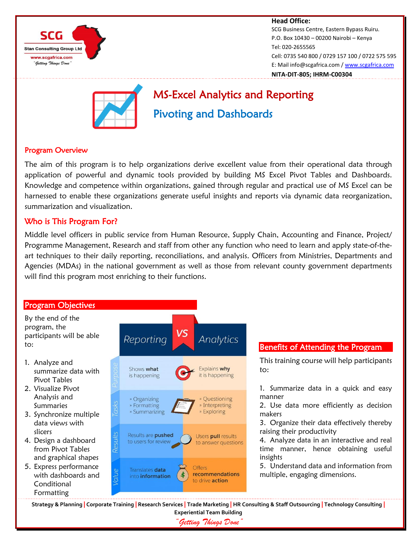

#### **Head Office:** SCG Business Centre, Eastern Bypass Ruiru. P.O. Box 10430 – 00200 Nairobi – Kenya Tel: 020-2655565 Cell: 0735 540 800 / 0729 157 100 / 0722 575 595 E: Mail info@scgafrica.com / [www.scgafrica.com](http://www.scgafrica.com/) **NITA-DIT-805; IHRM-C00304**



# MS-Excel Analytics and Reporting Pivoting and Dashboards

#### Program Overview

The aim of this program is to help organizations derive excellent value from their operational data through application of powerful and dynamic tools provided by building MS Excel Pivot Tables and Dashboards. Knowledge and competence within organizations, gained through regular and practical use of MS Excel can be harnessed to enable these organizations generate useful insights and reports via dynamic data reorganization, summarization and visualization.

### Who is This Program For?

Middle level officers in public service from Human Resource, Supply Chain, Accounting and Finance, Project/ Programme Management, Research and staff from other any function who need to learn and apply state-of-theart techniques to their daily reporting, reconciliations, and analysis. Officers from Ministries, Departments and Agencies (MDAs) in the national government as well as those from relevant county government departments will find this program most enriching to their functions.



*"Getting Things Done"*